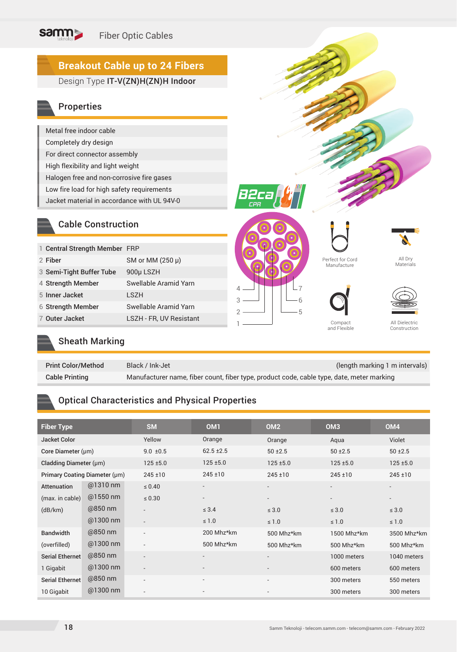#### samm Fiber Optic Cables

# **Breakout Cable up to 24 Fibers**

## Design Type IT-V(ZN)H(ZN)H Indoor

## Properties

| Metal free indoor cable                     |
|---------------------------------------------|
| Completely dry design                       |
| For direct connector assembly               |
| High flexibility and light weight           |
| Halogen free and non-corrosive fire gases   |
| Low fire load for high safety requirements  |
| Jacket material in accordance with UL 94V-0 |

### Cable Construction

| 1 Central Strength Member FRP |                         |  |
|-------------------------------|-------------------------|--|
| 2 Fiber                       | SM or MM $(250 \mu)$    |  |
| 3 Semi-Tight Buffer Tube      | 900µ LSZH               |  |
| 4 Strength Member             | Swellable Aramid Yarn   |  |
| 5 Inner Jacket                | LSZH                    |  |
| 6 Strength Member             | Swellable Aramid Yarn   |  |
| 7 Outer Jacket                | LSZH - FR, UV Resistant |  |
|                               |                         |  |







Perfect for Cord Manufacture

All Dry Materials



Compact<br>and Flexible

All Dielectric Construction

## Sheath Marking

| <b>Print Color/Method</b> | Black / Ink-Jet                                                                           | (length marking 1 m intervals) |
|---------------------------|-------------------------------------------------------------------------------------------|--------------------------------|
| <b>Cable Printing</b>     | Manufacturer name, fiber count, fiber type, product code, cable type, date, meter marking |                                |

## Optical Characteristics and Physical Properties

| <b>Fiber Type</b>             |            | <b>SM</b>                | OM <sub>1</sub>          | OM <sub>2</sub>          | OM <sub>3</sub> | OM <sub>4</sub>          |
|-------------------------------|------------|--------------------------|--------------------------|--------------------------|-----------------|--------------------------|
| <b>Jacket Color</b>           |            | Yellow                   | Orange                   | Orange                   | Aqua            | Violet                   |
| Core Diameter (µm)            |            | $9.0 \pm 0.5$            | $62.5 \pm 2.5$           | $50 + 2.5$               | $50 + 2.5$      |                          |
| Cladding Diameter (µm)        |            | $125 + 5.0$              | $125 \pm 5.0$            | $125 + 5.0$              | $125 + 5.0$     | $125 + 5.0$              |
| Primary Coating Diameter (µm) |            | $245 \pm 10$             | $245 \pm 10$             | $245 \pm 10$             | $245 \pm 10$    | $245 \pm 10$             |
| Attenuation                   | @1310 nm   | $\leq 0.40$              |                          |                          |                 | $\overline{\phantom{a}}$ |
| (max. in cable)               | $@1550$ nm | $\leq 0.30$              | $\overline{\phantom{a}}$ |                          |                 | $\overline{\phantom{a}}$ |
| (dB/km)                       | @850 nm    | $\overline{\phantom{0}}$ | $\leq 3.4$               | $\leq 3.0$               | $\leq 3.0$      | $\leq 3.0$               |
|                               | @1300 nm   | $\overline{\phantom{a}}$ | $\leq 1.0$               | $\leq 1.0$               | $\leq 1.0$      | $\leq 1.0$               |
| <b>Bandwidth</b>              | @850 nm    | $\overline{\phantom{0}}$ | 200 Mhz*km               | 500 Mhz*km               | 1500 Mhz*km     | 3500 Mhz*km              |
| (overfilled)                  | @1300 nm   | $\overline{\phantom{0}}$ | 500 Mhz*km               | 500 Mhz*km               | 500 Mhz*km      | 500 Mhz*km               |
| Serial Ethernet               | @850 nm    | $\overline{\phantom{0}}$ | $\overline{\phantom{a}}$ |                          | 1000 meters     | 1040 meters              |
| 1 Gigabit                     | @1300 nm   | $\overline{\phantom{a}}$ |                          | $\overline{\phantom{a}}$ | 600 meters      | 600 meters               |
| Serial Ethernet               | @850 nm    | $\overline{\phantom{0}}$ | $\overline{\phantom{a}}$ | $\overline{\phantom{a}}$ | 300 meters      | 550 meters               |
| 10 Gigabit                    | @1300 nm   | $\overline{\phantom{0}}$ |                          |                          | 300 meters      | 300 meters               |